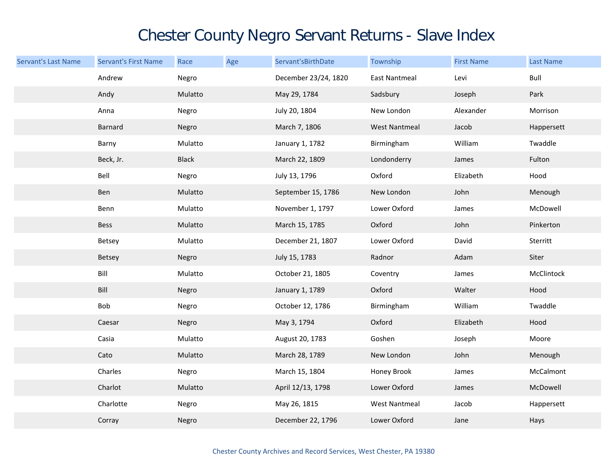## Chester County Negro Servant Returns - Slave Index

| <b>Servant's Last Name</b> | <b>Servant's First Name</b> | Race         | Age | Servant'sBirthDate   | Township             | <b>First Name</b> | <b>Last Name</b> |
|----------------------------|-----------------------------|--------------|-----|----------------------|----------------------|-------------------|------------------|
|                            | Andrew                      | Negro        |     | December 23/24, 1820 | <b>East Nantmeal</b> | Levi              | Bull             |
|                            | Andy                        | Mulatto      |     | May 29, 1784         | Sadsbury             | Joseph            | Park             |
|                            | Anna                        | Negro        |     | July 20, 1804        | New London           | Alexander         | Morrison         |
|                            | <b>Barnard</b>              | Negro        |     | March 7, 1806        | <b>West Nantmeal</b> | Jacob             | Happersett       |
|                            | Barny                       | Mulatto      |     | January 1, 1782      | Birmingham           | William           | Twaddle          |
|                            | Beck, Jr.                   | <b>Black</b> |     | March 22, 1809       | Londonderry          | James             | Fulton           |
|                            | Bell                        | Negro        |     | July 13, 1796        | Oxford               | Elizabeth         | Hood             |
|                            | Ben                         | Mulatto      |     | September 15, 1786   | New London           | John              | Menough          |
|                            | Benn                        | Mulatto      |     | November 1, 1797     | Lower Oxford         | James             | McDowell         |
|                            | <b>Bess</b>                 | Mulatto      |     | March 15, 1785       | Oxford               | John              | Pinkerton        |
|                            | Betsey                      | Mulatto      |     | December 21, 1807    | Lower Oxford         | David             | Sterritt         |
|                            | Betsey                      | Negro        |     | July 15, 1783        | Radnor               | Adam              | Siter            |
|                            | Bill                        | Mulatto      |     | October 21, 1805     | Coventry             | James             | McClintock       |
|                            | Bill                        | Negro        |     | January 1, 1789      | Oxford               | Walter            | Hood             |
|                            | Bob                         | Negro        |     | October 12, 1786     | Birmingham           | William           | Twaddle          |
|                            | Caesar                      | Negro        |     | May 3, 1794          | Oxford               | Elizabeth         | Hood             |
|                            | Casia                       | Mulatto      |     | August 20, 1783      | Goshen               | Joseph            | Moore            |
|                            | Cato                        | Mulatto      |     | March 28, 1789       | New London           | John              | Menough          |
|                            | Charles                     | Negro        |     | March 15, 1804       | Honey Brook          | James             | McCalmont        |
|                            | Charlot                     | Mulatto      |     | April 12/13, 1798    | Lower Oxford         | James             | McDowell         |
|                            | Charlotte                   | Negro        |     | May 26, 1815         | <b>West Nantmeal</b> | Jacob             | Happersett       |
|                            | Corray                      | Negro        |     | December 22, 1796    | Lower Oxford         | Jane              | Hays             |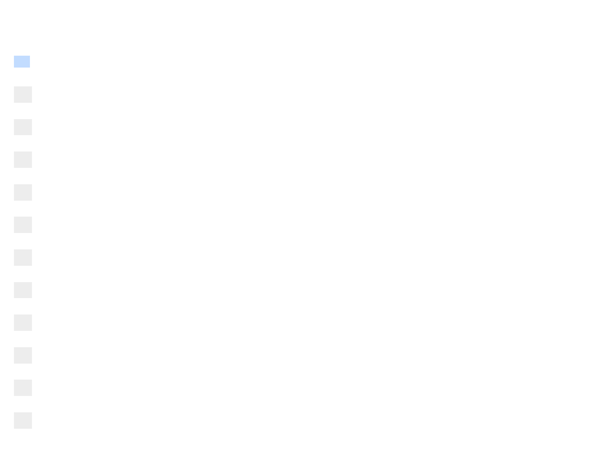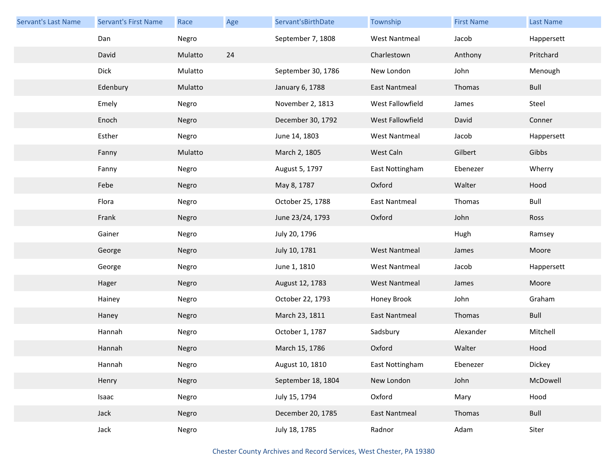| <b>Servant's Last Name</b> | <b>Servant's First Name</b> | Race    | Age | Servant'sBirthDate | Township             | <b>First Name</b> | <b>Last Name</b> |
|----------------------------|-----------------------------|---------|-----|--------------------|----------------------|-------------------|------------------|
|                            | Dan                         | Negro   |     | September 7, 1808  | West Nantmeal        | Jacob             | Happersett       |
|                            | David                       | Mulatto | 24  |                    | Charlestown          | Anthony           | Pritchard        |
|                            | <b>Dick</b>                 | Mulatto |     | September 30, 1786 | New London           | John              | Menough          |
|                            | Edenbury                    | Mulatto |     | January 6, 1788    | East Nantmeal        | Thomas            | Bull             |
|                            | Emely                       | Negro   |     | November 2, 1813   | West Fallowfield     | James             | Steel            |
|                            | Enoch                       | Negro   |     | December 30, 1792  | West Fallowfield     | David             | Conner           |
|                            | Esther                      | Negro   |     | June 14, 1803      | <b>West Nantmeal</b> | Jacob             | Happersett       |
|                            | Fanny                       | Mulatto |     | March 2, 1805      | West Caln            | Gilbert           | Gibbs            |
|                            | Fanny                       | Negro   |     | August 5, 1797     | East Nottingham      | Ebenezer          | Wherry           |
|                            | Febe                        | Negro   |     | May 8, 1787        | Oxford               | Walter            | Hood             |
|                            | Flora                       | Negro   |     | October 25, 1788   | East Nantmeal        | Thomas            | Bull             |
|                            | Frank                       | Negro   |     | June 23/24, 1793   | Oxford               | John              | Ross             |
|                            | Gainer                      | Negro   |     | July 20, 1796      |                      | Hugh              | Ramsey           |
|                            | George                      | Negro   |     | July 10, 1781      | <b>West Nantmeal</b> | James             | Moore            |
|                            | George                      | Negro   |     | June 1, 1810       | <b>West Nantmeal</b> | Jacob             | Happersett       |
|                            | Hager                       | Negro   |     | August 12, 1783    | <b>West Nantmeal</b> | James             | Moore            |
|                            | Hainey                      | Negro   |     | October 22, 1793   | Honey Brook          | John              | Graham           |
|                            | Haney                       | Negro   |     | March 23, 1811     | East Nantmeal        | Thomas            | Bull             |
|                            | Hannah                      | Negro   |     | October 1, 1787    | Sadsbury             | Alexander         | Mitchell         |
|                            | Hannah                      | Negro   |     | March 15, 1786     | Oxford               | Walter            | Hood             |
|                            | Hannah                      | Negro   |     | August 10, 1810    | East Nottingham      | Ebenezer          | Dickey           |
|                            | Henry                       | Negro   |     | September 18, 1804 | New London           | John              | McDowell         |
|                            | Isaac                       | Negro   |     | July 15, 1794      | Oxford               | Mary              | Hood             |
|                            | Jack                        | Negro   |     | December 20, 1785  | East Nantmeal        | Thomas            | Bull             |
|                            | Jack                        | Negro   |     | July 18, 1785      | Radnor               | Adam              | Siter            |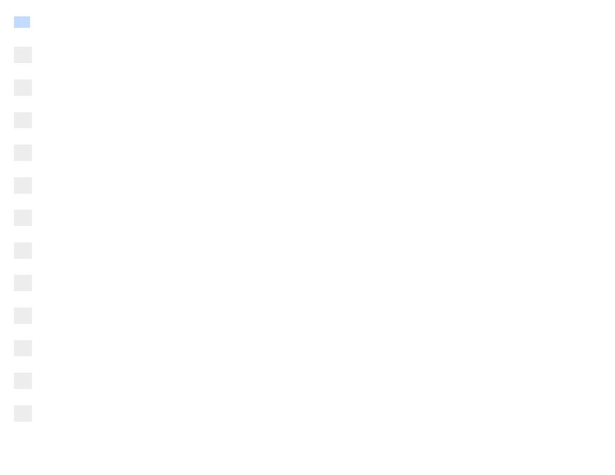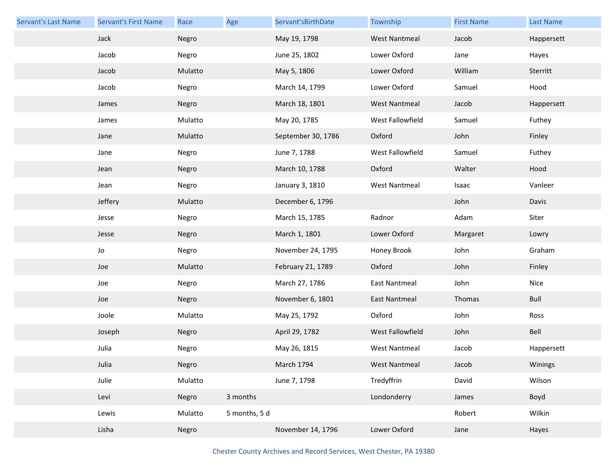| <b>Servant's Last Name</b> | <b>Servant's First Name</b> | Race    | Age           | Servant'sBirthDate | Township             | <b>First Name</b> | <b>Last Name</b> |
|----------------------------|-----------------------------|---------|---------------|--------------------|----------------------|-------------------|------------------|
|                            | Jack                        | Negro   |               | May 19, 1798       | <b>West Nantmeal</b> | Jacob             | Happersett       |
|                            | Jacob                       | Negro   |               | June 25, 1802      | Lower Oxford         | Jane              | Hayes            |
|                            | Jacob                       | Mulatto |               | May 5, 1806        | Lower Oxford         | William           | Sterritt         |
|                            | Jacob                       | Negro   |               | March 14, 1799     | Lower Oxford         | Samuel            | Hood             |
|                            | James                       | Negro   |               | March 18, 1801     | <b>West Nantmeal</b> | Jacob             | Happersett       |
|                            | James                       | Mulatto |               | May 20, 1785       | West Fallowfield     | Samuel            | Futhey           |
|                            | Jane                        | Mulatto |               | September 30, 1786 | Oxford               | John              | Finley           |
|                            | Jane                        | Negro   |               | June 7, 1788       | West Fallowfield     | Samuel            | Futhey           |
|                            | Jean                        | Negro   |               | March 10, 1788     | Oxford               | Walter            | Hood             |
|                            | Jean                        | Negro   |               | January 3, 1810    | <b>West Nantmeal</b> | Isaac             | Vanleer          |
|                            | Jeffery                     | Mulatto |               | December 6, 1796   |                      | John              | Davis            |
|                            | Jesse                       | Negro   |               | March 15, 1785     | Radnor               | Adam              | Siter            |
|                            | Jesse                       | Negro   |               | March 1, 1801      | Lower Oxford         | Margaret          | Lowry            |
|                            | Jo                          | Negro   |               | November 24, 1795  | Honey Brook          | John              | Graham           |
|                            | Joe                         | Mulatto |               | February 21, 1789  | Oxford               | John              | Finley           |
|                            | Joe                         | Negro   |               | March 27, 1786     | East Nantmeal        | John              | Nice             |
|                            | Joe                         | Negro   |               | November 6, 1801   | East Nantmeal        | Thomas            | Bull             |
|                            | Joole                       | Mulatto |               | May 25, 1792       | Oxford               | John              | Ross             |
|                            | Joseph                      | Negro   |               | April 29, 1782     | West Fallowfield     | John              | Bell             |
|                            | Julia                       | Negro   |               | May 26, 1815       | <b>West Nantmeal</b> | Jacob             | Happersett       |
|                            | Julia                       | Negro   |               | March 1794         | West Nantmeal        | Jacob             | Winings          |
|                            | Julie                       | Mulatto |               | June 7, 1798       | Tredyffrin           | David             | Wilson           |
|                            | Levi                        | Negro   | 3 months      |                    | Londonderry          | James             | Boyd             |
|                            | Lewis                       | Mulatto | 5 months, 5 d |                    |                      | Robert            | Wilkin           |
|                            | Lisha                       | Negro   |               | November 14, 1796  | Lower Oxford         | Jane              | Hayes            |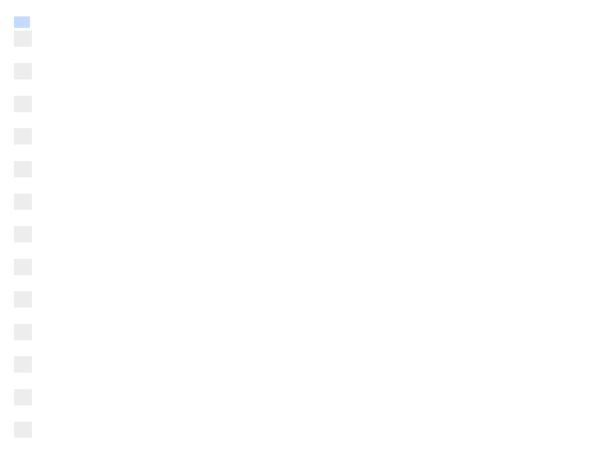E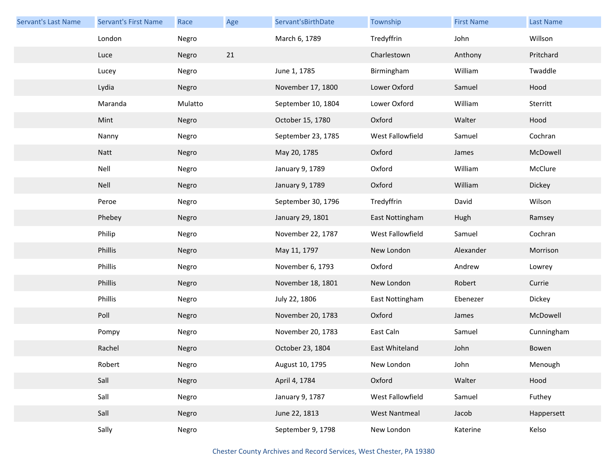| <b>Servant's Last Name</b> | <b>Servant's First Name</b> | Race    | Age | Servant'sBirthDate | Township             | <b>First Name</b> | <b>Last Name</b> |
|----------------------------|-----------------------------|---------|-----|--------------------|----------------------|-------------------|------------------|
|                            | London                      | Negro   |     | March 6, 1789      | Tredyffrin           | John              | Willson          |
|                            | Luce                        | Negro   | 21  |                    | Charlestown          | Anthony           | Pritchard        |
|                            | Lucey                       | Negro   |     | June 1, 1785       | Birmingham           | William           | Twaddle          |
|                            | Lydia                       | Negro   |     | November 17, 1800  | Lower Oxford         | Samuel            | Hood             |
|                            | Maranda                     | Mulatto |     | September 10, 1804 | Lower Oxford         | William           | Sterritt         |
|                            | Mint                        | Negro   |     | October 15, 1780   | Oxford               | Walter            | Hood             |
|                            | Nanny                       | Negro   |     | September 23, 1785 | West Fallowfield     | Samuel            | Cochran          |
|                            | Natt                        | Negro   |     | May 20, 1785       | Oxford               | James             | McDowell         |
|                            | Nell                        | Negro   |     | January 9, 1789    | Oxford               | William           | McClure          |
|                            | Nell                        | Negro   |     | January 9, 1789    | Oxford               | William           | Dickey           |
|                            | Peroe                       | Negro   |     | September 30, 1796 | Tredyffrin           | David             | Wilson           |
|                            | Phebey                      | Negro   |     | January 29, 1801   | East Nottingham      | Hugh              | Ramsey           |
|                            | Philip                      | Negro   |     | November 22, 1787  | West Fallowfield     | Samuel            | Cochran          |
|                            | Phillis                     | Negro   |     | May 11, 1797       | New London           | Alexander         | Morrison         |
|                            | Phillis                     | Negro   |     | November 6, 1793   | Oxford               | Andrew            | Lowrey           |
|                            | Phillis                     | Negro   |     | November 18, 1801  | New London           | Robert            | Currie           |
|                            | Phillis                     | Negro   |     | July 22, 1806      | East Nottingham      | Ebenezer          | Dickey           |
|                            | Poll                        | Negro   |     | November 20, 1783  | Oxford               | James             | McDowell         |
|                            | Pompy                       | Negro   |     | November 20, 1783  | East Caln            | Samuel            | Cunningham       |
|                            | Rachel                      | Negro   |     | October 23, 1804   | East Whiteland       | John              | Bowen            |
|                            | Robert                      | Negro   |     | August 10, 1795    | New London           | John              | Menough          |
|                            | Sall                        | Negro   |     | April 4, 1784      | Oxford               | Walter            | Hood             |
|                            | Sall                        | Negro   |     | January 9, 1787    | West Fallowfield     | Samuel            | Futhey           |
|                            | Sall                        | Negro   |     | June 22, 1813      | <b>West Nantmeal</b> | Jacob             | Happersett       |
|                            | Sally                       | Negro   |     | September 9, 1798  | New London           | Katerine          | Kelso            |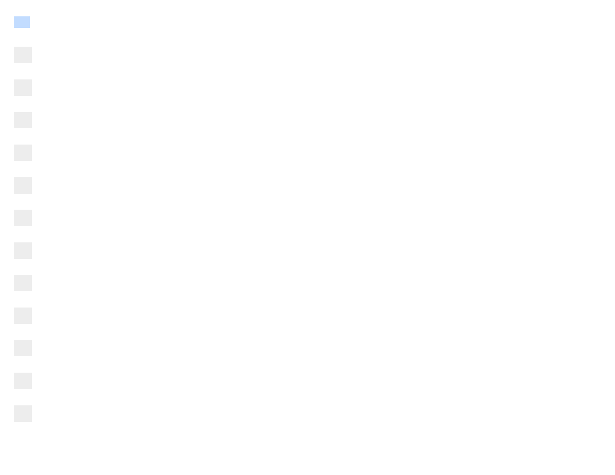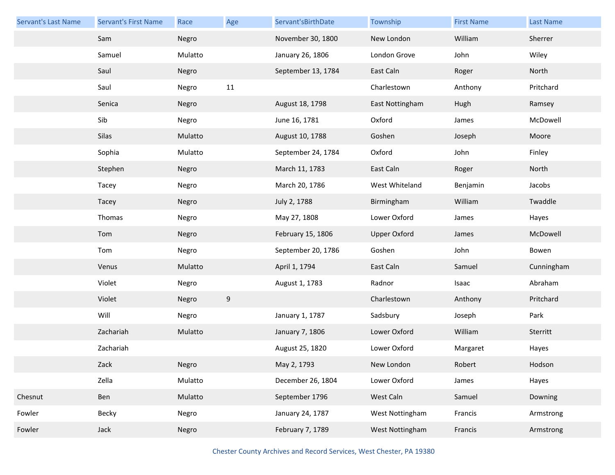| Servant's Last Name | <b>Servant's First Name</b> | Race    | Age              | Servant'sBirthDate | Township            | <b>First Name</b> | Last Name  |
|---------------------|-----------------------------|---------|------------------|--------------------|---------------------|-------------------|------------|
|                     | Sam                         | Negro   |                  | November 30, 1800  | New London          | William           | Sherrer    |
|                     | Samuel                      | Mulatto |                  | January 26, 1806   | London Grove        | John              | Wiley      |
|                     | Saul                        | Negro   |                  | September 13, 1784 | East Caln           | Roger             | North      |
|                     | Saul                        | Negro   | 11               |                    | Charlestown         | Anthony           | Pritchard  |
|                     | Senica                      | Negro   |                  | August 18, 1798    | East Nottingham     | Hugh              | Ramsey     |
|                     | Sib                         | Negro   |                  | June 16, 1781      | Oxford              | James             | McDowell   |
|                     | Silas                       | Mulatto |                  | August 10, 1788    | Goshen              | Joseph            | Moore      |
|                     | Sophia                      | Mulatto |                  | September 24, 1784 | Oxford              | John              | Finley     |
|                     | Stephen                     | Negro   |                  | March 11, 1783     | East Caln           | Roger             | North      |
|                     | Tacey                       | Negro   |                  | March 20, 1786     | West Whiteland      | Benjamin          | Jacobs     |
|                     | <b>Tacey</b>                | Negro   |                  | July 2, 1788       | Birmingham          | William           | Twaddle    |
|                     | Thomas                      | Negro   |                  | May 27, 1808       | Lower Oxford        | James             | Hayes      |
|                     | Tom                         | Negro   |                  | February 15, 1806  | <b>Upper Oxford</b> | James             | McDowell   |
|                     | Tom                         | Negro   |                  | September 20, 1786 | Goshen              | John              | Bowen      |
|                     | Venus                       | Mulatto |                  | April 1, 1794      | East Caln           | Samuel            | Cunningham |
|                     |                             |         |                  |                    |                     |                   |            |
|                     | Violet                      | Negro   |                  | August 1, 1783     | Radnor              | Isaac             | Abraham    |
|                     | Violet                      | Negro   | $\boldsymbol{9}$ |                    | Charlestown         | Anthony           | Pritchard  |
|                     | Will                        | Negro   |                  | January 1, 1787    | Sadsbury            | Joseph            | Park       |
|                     | Zachariah                   | Mulatto |                  | January 7, 1806    | Lower Oxford        | William           | Sterritt   |
|                     | Zachariah                   |         |                  | August 25, 1820    | Lower Oxford        | Margaret          | Hayes      |
|                     | Zack                        | Negro   |                  | May 2, 1793        | New London          | Robert            | Hodson     |
|                     | Zella                       | Mulatto |                  | December 26, 1804  | Lower Oxford        | James             | Hayes      |
| Chesnut             | Ben                         | Mulatto |                  | September 1796     | West Caln           | Samuel            | Downing    |
| Fowler              | Becky                       | Negro   |                  | January 24, 1787   | West Nottingham     | Francis           | Armstrong  |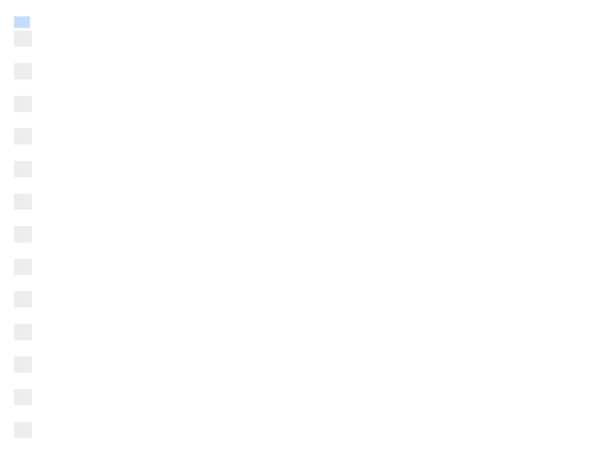E